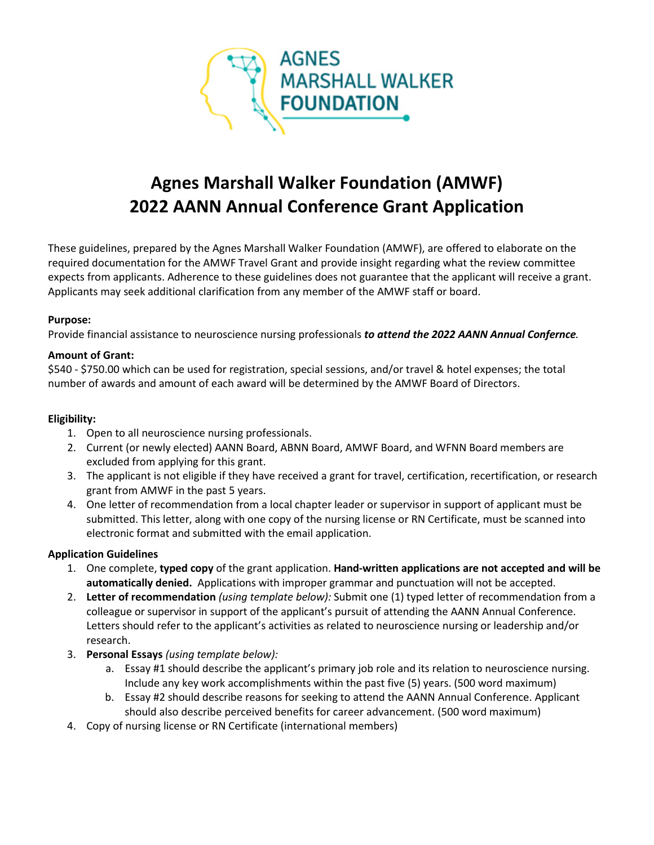

# **Agnes Marshall Walker Foundation (AMWF) 2022 AANN Annual Conference Grant Application**

These guidelines, prepared by the Agnes Marshall Walker Foundation (AMWF), are offered to elaborate on the required documentation for the AMWF Travel Grant and provide insight regarding what the review committee expects from applicants. Adherence to these guidelines does not guarantee that the applicant will receive a grant. Applicants may seek additional clarification from any member of the AMWF staff or board.

## **Purpose:**

Provide financial assistance to neuroscience nursing professionals *to attend the 2022 AANN Annual Confernce.*

### **Amount of Grant:**

\$540 - \$750.00 which can be used for registration, special sessions, and/or travel & hotel expenses; the total number of awards and amount of each award will be determined by the AMWF Board of Directors.

## **Eligibility:**

- 1. Open to all neuroscience nursing professionals.
- 2. Current (or newly elected) AANN Board, ABNN Board, AMWF Board, and WFNN Board members are excluded from applying for this grant.
- 3. The applicant is not eligible if they have received a grant for travel, certification, recertification, or research grant from AMWF in the past 5 years.
- 4. One letter of recommendation from a local chapter leader or supervisor in support of applicant must be submitted. This letter, along with one copy of the nursing license or RN Certificate, must be scanned into electronic format and submitted with the email application.

## **Application Guidelines**

- 1. One complete, **typed copy** of the grant application. **Hand-written applications are not accepted and will be automatically denied.** Applications with improper grammar and punctuation will not be accepted.
- 2. **Letter of recommendation** *(using template below):* Submit one (1) typed letter of recommendation from a colleague or supervisor in support of the applicant's pursuit of attending the AANN Annual Conference. Letters should refer to the applicant's activities as related to neuroscience nursing or leadership and/or research.
- 3. **Personal Essays** *(using template below):*
	- a. Essay #1 should describe the applicant's primary job role and its relation to neuroscience nursing. Include any key work accomplishments within the past five (5) years. (500 word maximum)
	- b. Essay #2 should describe reasons for seeking to attend the AANN Annual Conference. Applicant should also describe perceived benefits for career advancement. (500 word maximum)
- 4. Copy of nursing license or RN Certificate (international members)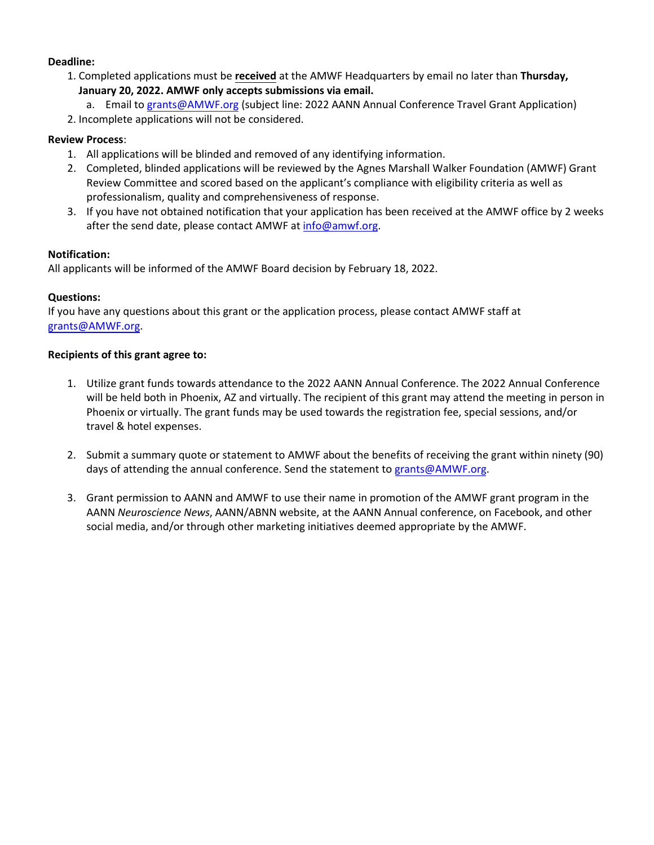## **Deadline:**

- 1. Completed applications must be **received** at the AMWF Headquarters by email no later than **Thursday, January 20, 2022. AMWF only accepts submissions via email.**
	- a. Email to [grants@AMWF.org](mailto:grants@AMWF.org) (subject line: 2022 AANN Annual Conference Travel Grant Application)
- 2. Incomplete applications will not be considered.

## **Review Process**:

- 1. All applications will be blinded and removed of any identifying information.
- 2. Completed, blinded applications will be reviewed by the Agnes Marshall Walker Foundation (AMWF) Grant Review Committee and scored based on the applicant's compliance with eligibility criteria as well as professionalism, quality and comprehensiveness of response.
- 3. If you have not obtained notification that your application has been received at the AMWF office by 2 weeks after the send date, please contact AMWF a[t info@amwf.org.](mailto:info@amwf.org)

## **Notification:**

All applicants will be informed of the AMWF Board decision by February 18, 2022.

## **Questions:**

If you have any questions about this grant or the application process, please contact AMWF staff at [grants@AMWF.org.](mailto:grants@AMWF.org)

## **Recipients of this grant agree to:**

- 1. Utilize grant funds towards attendance to the 2022 AANN Annual Conference. The 2022 Annual Conference will be held both in Phoenix, AZ and virtually. The recipient of this grant may attend the meeting in person in Phoenix or virtually. The grant funds may be used towards the registration fee, special sessions, and/or travel & hotel expenses.
- 2. Submit a summary quote or statement to AMWF about the benefits of receiving the grant within ninety (90) days of attending the annual conference. Send the statement to [grants@AMWF.org.](mailto:grants@AMWF.org)
- 3. Grant permission to AANN and AMWF to use their name in promotion of the AMWF grant program in the AANN *Neuroscience News*, AANN/ABNN website, at the AANN Annual conference, on Facebook, and other social media, and/or through other marketing initiatives deemed appropriate by the AMWF.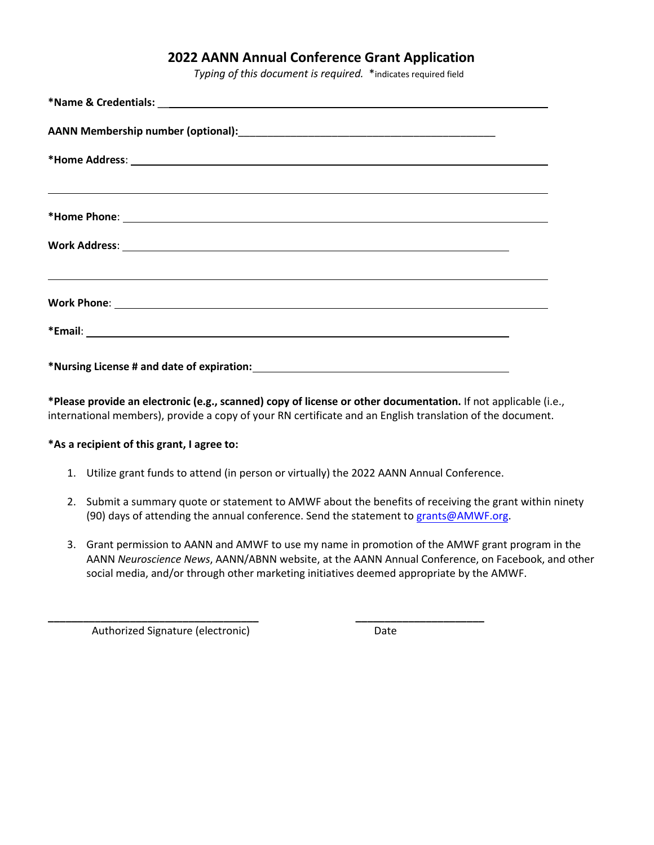## **2022 AANN Annual Conference Grant Application**

*Typing of this document is required.* \*indicates required field

| ,我们也不会有什么。""我们的人,我们也不会有什么?""我们的人,我们也不会有什么?""我们的人,我们也不会有什么?""我们的人,我们也不会有什么?""我们的人 |
|----------------------------------------------------------------------------------|
|                                                                                  |
|                                                                                  |
|                                                                                  |
|                                                                                  |
|                                                                                  |
|                                                                                  |
|                                                                                  |
|                                                                                  |
|                                                                                  |
|                                                                                  |
|                                                                                  |
|                                                                                  |

**\*Please provide an electronic (e.g., scanned) copy of license or other documentation.** If not applicable (i.e., international members), provide a copy of your RN certificate and an English translation of the document.

### **\*As a recipient of this grant, I agree to:**

1. Utilize grant funds to attend (in person or virtually) the 2022 AANN Annual Conference.

**\_\_\_\_\_\_\_\_\_\_\_\_\_\_\_\_\_\_\_\_\_\_\_\_\_\_\_\_\_\_\_\_\_\_\_\_ \_\_\_\_\_\_\_\_\_\_\_\_\_\_\_\_\_\_\_\_\_\_**

- 2. Submit a summary quote or statement to AMWF about the benefits of receiving the grant within ninety (90) days of attending the annual conference. Send the statement to [grants@AMWF.org.](mailto:grants@AMWF.org)
- 3. Grant permission to AANN and AMWF to use my name in promotion of the AMWF grant program in the AANN *Neuroscience News*, AANN/ABNN website, at the AANN Annual Conference, on Facebook, and other social media, and/or through other marketing initiatives deemed appropriate by the AMWF.

Authorized Signature (electronic) Date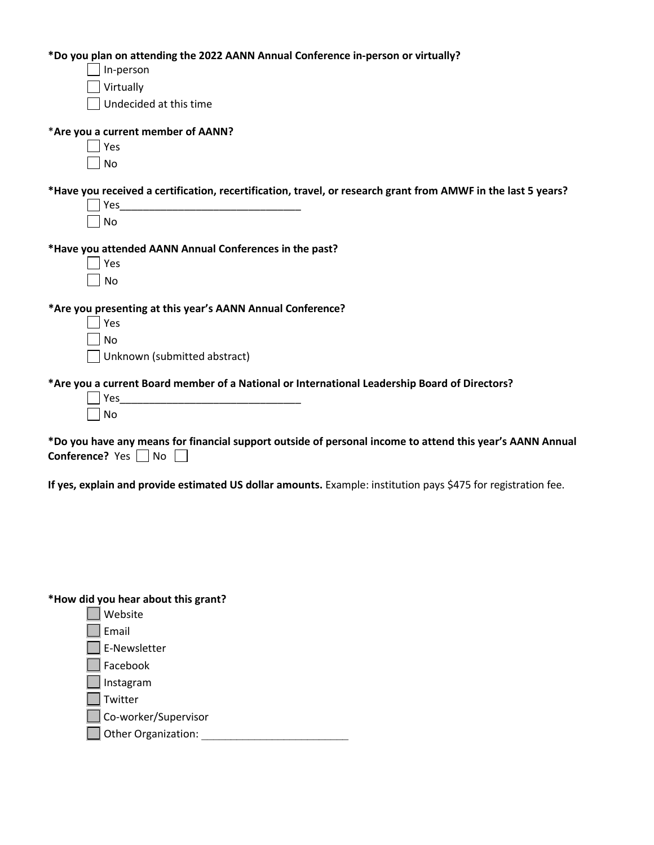**\*Do you plan on attending the 2022 AANN Annual Conference in-person or virtually?**

 $\Box$  In-person

Virtually

Undecided at this time

## \***Are you a current member of AANN?**

| 5<br>د |
|--------|
| N<br>n |

**\*Have you received a certification, recertification, travel, or research grant from AMWF in the last 5 years?**

 $Yes$ 

 $\square$  No

## **\*Have you attended AANN Annual Conferences in the past?**

| ١ | c |
|---|---|
| l | J |

**\*Are you presenting at this year's AANN Annual Conference?**

Yes\_\_\_\_\_\_\_\_\_\_\_\_\_\_\_\_\_\_\_\_\_\_\_\_\_\_\_\_\_\_\_

 $\Box$  Yes l Ino Unknown (submitted abstract)

## **\*Are you a current Board member of a National or International Leadership Board of Directors?**

| ٠<br>c<br>۰ |
|-------------|
| Ń<br>n<br>o |

**\*Do you have any means for financial support outside of personal income to attend this year's AANN Annual Conference?** Yes  $\Box$  No  $\Box$ 

**If yes, explain and provide estimated US dollar amounts.** Example: institution pays \$475 for registration fee.

**\*How did you hear about this grant?**

- Website
- **L** Email
- E-Newsletter
- $\Box$  Facebook
- Instagram
- $\Box$  Twitter
- Co-worker/Supervisor
- Other Organization: \_\_\_\_\_\_\_\_\_\_\_\_\_\_\_\_\_\_\_\_\_\_\_\_\_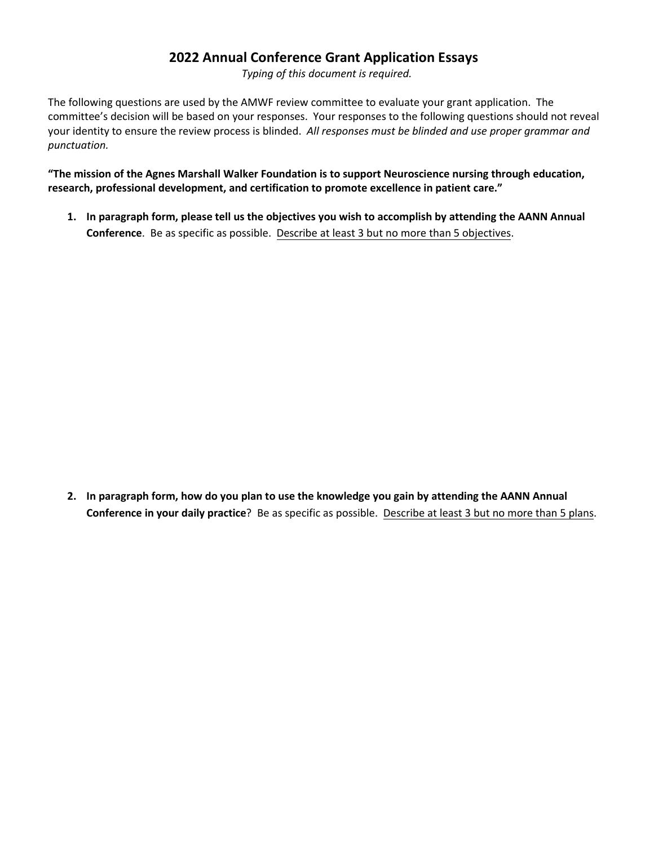## **2022 Annual Conference Grant Application Essays**

*Typing of this document is required.*

The following questions are used by the AMWF review committee to evaluate your grant application. The committee's decision will be based on your responses. Your responses to the following questions should not reveal your identity to ensure the review process is blinded. *All responses must be blinded and use proper grammar and punctuation.*

**"The mission of the Agnes Marshall Walker Foundation is to support Neuroscience nursing through education, research, professional development, and certification to promote excellence in patient care."**

**1. In paragraph form, please tell us the objectives you wish to accomplish by attending the AANN Annual Conference**. Be as specific as possible. Describe at least 3 but no more than 5 objectives.

**2. In paragraph form, how do you plan to use the knowledge you gain by attending the AANN Annual Conference in your daily practice**? Be as specific as possible. Describe at least 3 but no more than 5 plans.